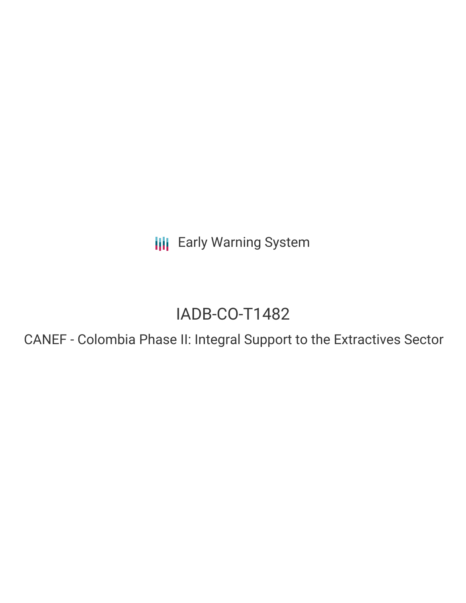**III** Early Warning System

# IADB-CO-T1482

CANEF - Colombia Phase II: Integral Support to the Extractives Sector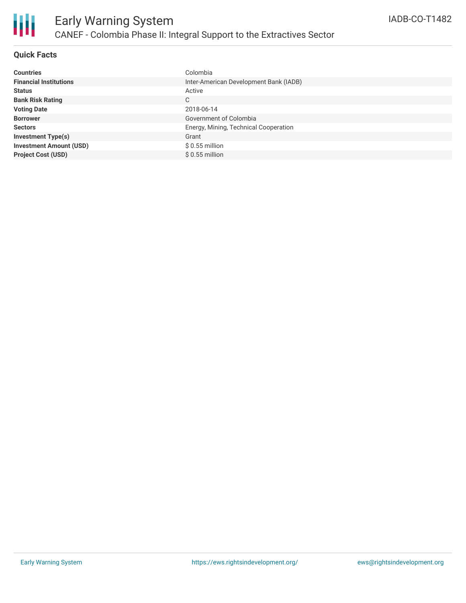

## **Quick Facts**

| <b>Countries</b>               | Colombia                               |
|--------------------------------|----------------------------------------|
| <b>Financial Institutions</b>  | Inter-American Development Bank (IADB) |
| <b>Status</b>                  | Active                                 |
| <b>Bank Risk Rating</b>        | C                                      |
| <b>Voting Date</b>             | 2018-06-14                             |
| <b>Borrower</b>                | Government of Colombia                 |
| <b>Sectors</b>                 | Energy, Mining, Technical Cooperation  |
| <b>Investment Type(s)</b>      | Grant                                  |
| <b>Investment Amount (USD)</b> | $$0.55$ million                        |
| <b>Project Cost (USD)</b>      | $$0.55$ million                        |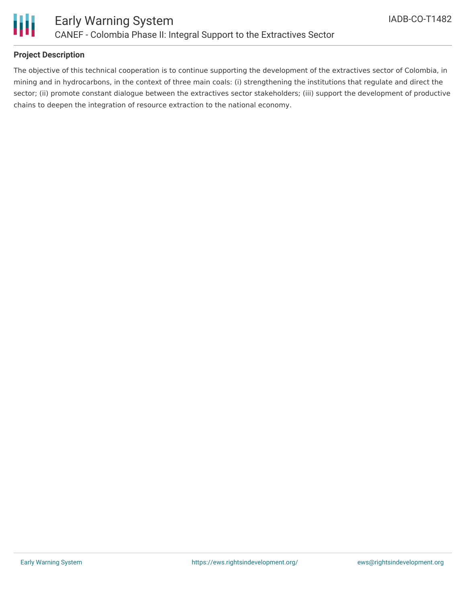

## **Project Description**

The objective of this technical cooperation is to continue supporting the development of the extractives sector of Colombia, in mining and in hydrocarbons, in the context of three main coals: (i) strengthening the institutions that regulate and direct the sector; (ii) promote constant dialogue between the extractives sector stakeholders; (iii) support the development of productive chains to deepen the integration of resource extraction to the national economy.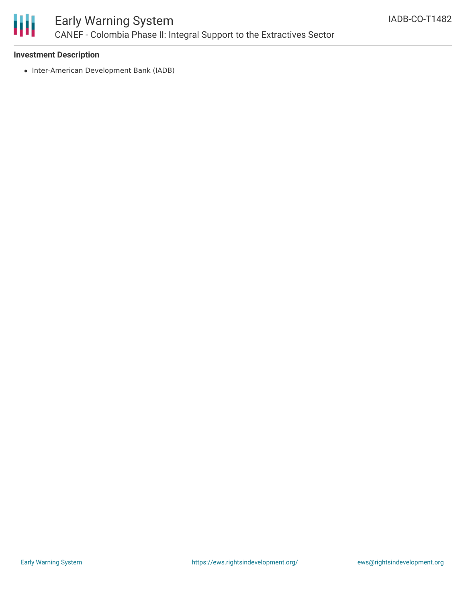

# Early Warning System CANEF - Colombia Phase II: Integral Support to the Extractives Sector

#### **Investment Description**

• Inter-American Development Bank (IADB)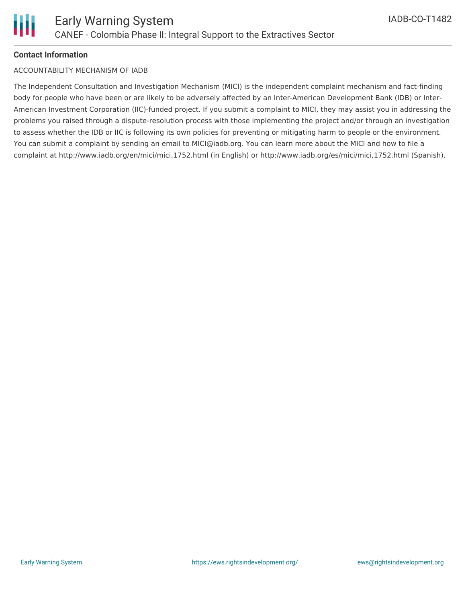#### **Contact Information**

#### ACCOUNTABILITY MECHANISM OF IADB

The Independent Consultation and Investigation Mechanism (MICI) is the independent complaint mechanism and fact-finding body for people who have been or are likely to be adversely affected by an Inter-American Development Bank (IDB) or Inter-American Investment Corporation (IIC)-funded project. If you submit a complaint to MICI, they may assist you in addressing the problems you raised through a dispute-resolution process with those implementing the project and/or through an investigation to assess whether the IDB or IIC is following its own policies for preventing or mitigating harm to people or the environment. You can submit a complaint by sending an email to MICI@iadb.org. You can learn more about the MICI and how to file a complaint at http://www.iadb.org/en/mici/mici,1752.html (in English) or http://www.iadb.org/es/mici/mici,1752.html (Spanish).